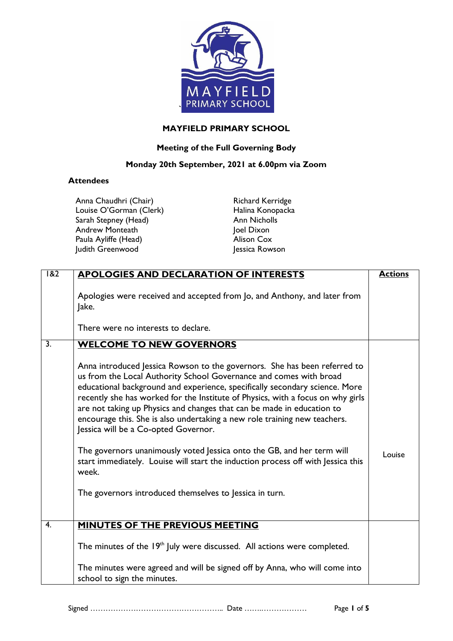

## **MAYFIELD PRIMARY SCHOOL**

## **Meeting of the Full Governing Body**

## **Monday 20th September, 2021 at 6.00pm via Zoom**

## **Attendees**

Anna Chaudhri (Chair) Louise O'Gorman (Clerk) Sarah Stepney (Head) Andrew Monteath Paula Ayliffe (Head) Judith Greenwood

Richard Kerridge Halina Konopacka Ann Nicholls loel Dixon Alison Cox Jessica Rowson

| $\overline{182}$ | <b>APOLOGIES AND DECLARATION OF INTERESTS</b>                                                                                                                                                                                                                                                                                                                                                                                                                                                                    | <b>Actions</b> |
|------------------|------------------------------------------------------------------------------------------------------------------------------------------------------------------------------------------------------------------------------------------------------------------------------------------------------------------------------------------------------------------------------------------------------------------------------------------------------------------------------------------------------------------|----------------|
|                  | Apologies were received and accepted from Jo, and Anthony, and later from<br>Jake.<br>There were no interests to declare.                                                                                                                                                                                                                                                                                                                                                                                        |                |
| $\overline{3}$ . | <b>WELCOME TO NEW GOVERNORS</b>                                                                                                                                                                                                                                                                                                                                                                                                                                                                                  |                |
|                  | Anna introduced Jessica Rowson to the governors. She has been referred to<br>us from the Local Authority School Governance and comes with broad<br>educational background and experience, specifically secondary science. More<br>recently she has worked for the Institute of Physics, with a focus on why girls<br>are not taking up Physics and changes that can be made in education to<br>encourage this. She is also undertaking a new role training new teachers.<br>Jessica will be a Co-opted Governor. |                |
|                  | The governors unanimously voted Jessica onto the GB, and her term will<br>start immediately. Louise will start the induction process off with Jessica this<br>week.                                                                                                                                                                                                                                                                                                                                              | Louise         |
|                  | The governors introduced themselves to Jessica in turn.                                                                                                                                                                                                                                                                                                                                                                                                                                                          |                |
| 4.               | MINUTES OF THE PREVIOUS MEETING                                                                                                                                                                                                                                                                                                                                                                                                                                                                                  |                |
|                  | The minutes of the $19th$ July were discussed. All actions were completed.                                                                                                                                                                                                                                                                                                                                                                                                                                       |                |
|                  | The minutes were agreed and will be signed off by Anna, who will come into<br>school to sign the minutes.                                                                                                                                                                                                                                                                                                                                                                                                        |                |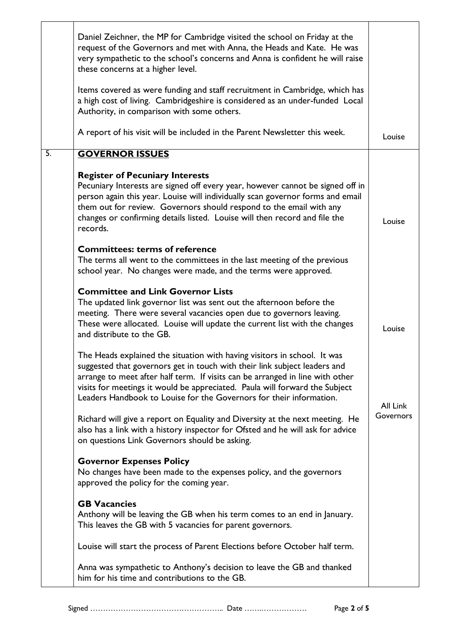|    | Daniel Zeichner, the MP for Cambridge visited the school on Friday at the<br>request of the Governors and met with Anna, the Heads and Kate. He was<br>very sympathetic to the school's concerns and Anna is confident he will raise<br>these concerns at a higher level.<br>Items covered as were funding and staff recruitment in Cambridge, which has<br>a high cost of living. Cambridgeshire is considered as an under-funded Local<br>Authority, in comparison with some others. |           |
|----|----------------------------------------------------------------------------------------------------------------------------------------------------------------------------------------------------------------------------------------------------------------------------------------------------------------------------------------------------------------------------------------------------------------------------------------------------------------------------------------|-----------|
|    | A report of his visit will be included in the Parent Newsletter this week.                                                                                                                                                                                                                                                                                                                                                                                                             | Louise    |
| 5. | <b>GOVERNOR ISSUES</b>                                                                                                                                                                                                                                                                                                                                                                                                                                                                 |           |
|    | <b>Register of Pecuniary Interests</b><br>Pecuniary Interests are signed off every year, however cannot be signed off in<br>person again this year. Louise will individually scan governor forms and email<br>them out for review. Governors should respond to the email with any<br>changes or confirming details listed. Louise will then record and file the<br>records.                                                                                                            | Louise    |
|    | <b>Committees: terms of reference</b><br>The terms all went to the committees in the last meeting of the previous<br>school year. No changes were made, and the terms were approved.                                                                                                                                                                                                                                                                                                   |           |
|    | <b>Committee and Link Governor Lists</b><br>The updated link governor list was sent out the afternoon before the<br>meeting. There were several vacancies open due to governors leaving.<br>These were allocated. Louise will update the current list with the changes<br>and distribute to the GB.                                                                                                                                                                                    | Louise    |
|    | The Heads explained the situation with having visitors in school. It was<br>suggested that governors get in touch with their link subject leaders and<br>arrange to meet after half term. If visits can be arranged in line with other<br>visits for meetings it would be appreciated. Paula will forward the Subject<br>Leaders Handbook to Louise for the Governors for their information.                                                                                           | All Link  |
|    | Richard will give a report on Equality and Diversity at the next meeting. He<br>also has a link with a history inspector for Ofsted and he will ask for advice<br>on questions Link Governors should be asking.                                                                                                                                                                                                                                                                        | Governors |
|    | <b>Governor Expenses Policy</b><br>No changes have been made to the expenses policy, and the governors<br>approved the policy for the coming year.                                                                                                                                                                                                                                                                                                                                     |           |
|    | <b>GB Vacancies</b><br>Anthony will be leaving the GB when his term comes to an end in January.<br>This leaves the GB with 5 vacancies for parent governors.                                                                                                                                                                                                                                                                                                                           |           |
|    | Louise will start the process of Parent Elections before October half term.                                                                                                                                                                                                                                                                                                                                                                                                            |           |
|    | Anna was sympathetic to Anthony's decision to leave the GB and thanked<br>him for his time and contributions to the GB.                                                                                                                                                                                                                                                                                                                                                                |           |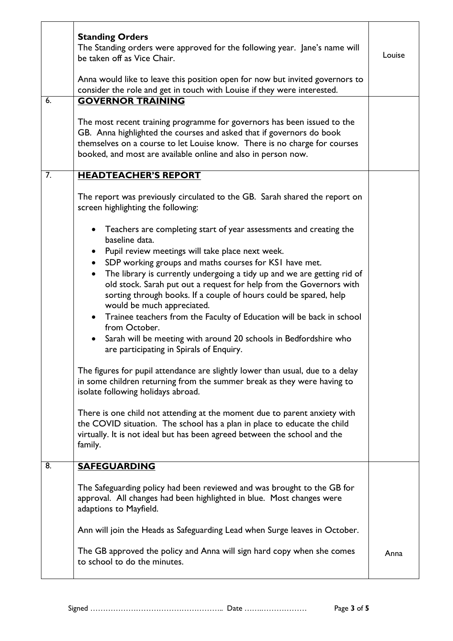|                  | <b>Standing Orders</b><br>The Standing orders were approved for the following year. Jane's name will<br>be taken off as Vice Chair.<br>Anna would like to leave this position open for now but invited governors to<br>consider the role and get in touch with Louise if they were interested. | Louise |
|------------------|------------------------------------------------------------------------------------------------------------------------------------------------------------------------------------------------------------------------------------------------------------------------------------------------|--------|
| 6.               | <b>GOVERNOR TRAINING</b>                                                                                                                                                                                                                                                                       |        |
|                  | The most recent training programme for governors has been issued to the<br>GB. Anna highlighted the courses and asked that if governors do book<br>themselves on a course to let Louise know. There is no charge for courses<br>booked, and most are available online and also in person now.  |        |
| $\overline{7}$ . | <b>HEADTEACHER'S REPORT</b>                                                                                                                                                                                                                                                                    |        |
|                  | The report was previously circulated to the GB. Sarah shared the report on<br>screen highlighting the following:                                                                                                                                                                               |        |
|                  | Teachers are completing start of year assessments and creating the<br>$\bullet$<br>baseline data.                                                                                                                                                                                              |        |
|                  | Pupil review meetings will take place next week.<br>$\bullet$                                                                                                                                                                                                                                  |        |
|                  | SDP working groups and maths courses for KSI have met.<br>$\bullet$                                                                                                                                                                                                                            |        |
|                  | The library is currently undergoing a tidy up and we are getting rid of<br>$\bullet$<br>old stock. Sarah put out a request for help from the Governors with<br>sorting through books. If a couple of hours could be spared, help<br>would be much appreciated.                                 |        |
|                  | Trainee teachers from the Faculty of Education will be back in school<br>$\bullet$<br>from October.                                                                                                                                                                                            |        |
|                  | Sarah will be meeting with around 20 schools in Bedfordshire who<br>are participating in Spirals of Enquiry.                                                                                                                                                                                   |        |
|                  | The figures for pupil attendance are slightly lower than usual, due to a delay<br>in some children returning from the summer break as they were having to<br>isolate following holidays abroad.                                                                                                |        |
|                  | There is one child not attending at the moment due to parent anxiety with<br>the COVID situation. The school has a plan in place to educate the child<br>virtually. It is not ideal but has been agreed between the school and the<br>family.                                                  |        |
| 8.               | <b>SAFEGUARDING</b>                                                                                                                                                                                                                                                                            |        |
|                  | The Safeguarding policy had been reviewed and was brought to the GB for<br>approval. All changes had been highlighted in blue. Most changes were<br>adaptions to Mayfield.                                                                                                                     |        |
|                  | Ann will join the Heads as Safeguarding Lead when Surge leaves in October.                                                                                                                                                                                                                     |        |
|                  | The GB approved the policy and Anna will sign hard copy when she comes<br>to school to do the minutes.                                                                                                                                                                                         | Anna   |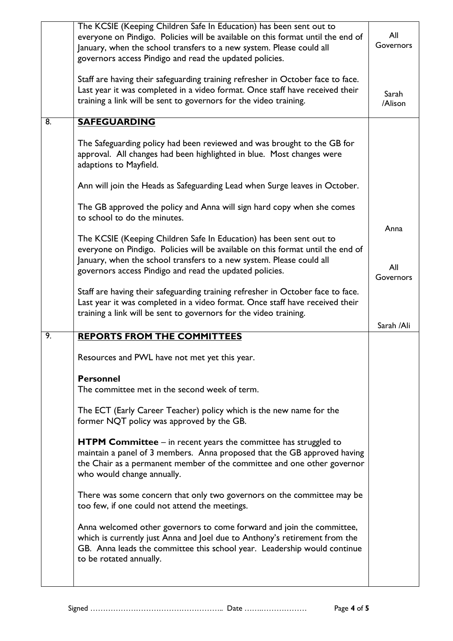|                | The KCSIE (Keeping Children Safe In Education) has been sent out to<br>everyone on Pindigo. Policies will be available on this format until the end of<br>January, when the school transfers to a new system. Please could all<br>governors access Pindigo and read the updated policies. | All<br>Governors |
|----------------|-------------------------------------------------------------------------------------------------------------------------------------------------------------------------------------------------------------------------------------------------------------------------------------------|------------------|
|                | Staff are having their safeguarding training refresher in October face to face.<br>Last year it was completed in a video format. Once staff have received their<br>training a link will be sent to governors for the video training.                                                      | Sarah<br>/Alison |
| $\overline{8}$ | <b>SAFEGUARDING</b>                                                                                                                                                                                                                                                                       |                  |
|                | The Safeguarding policy had been reviewed and was brought to the GB for<br>approval. All changes had been highlighted in blue. Most changes were<br>adaptions to Mayfield.                                                                                                                |                  |
|                | Ann will join the Heads as Safeguarding Lead when Surge leaves in October.                                                                                                                                                                                                                |                  |
|                | The GB approved the policy and Anna will sign hard copy when she comes<br>to school to do the minutes.                                                                                                                                                                                    |                  |
|                | The KCSIE (Keeping Children Safe In Education) has been sent out to<br>everyone on Pindigo. Policies will be available on this format until the end of<br>January, when the school transfers to a new system. Please could all                                                            | Anna<br>All      |
|                | governors access Pindigo and read the updated policies.                                                                                                                                                                                                                                   | Governors        |
|                | Staff are having their safeguarding training refresher in October face to face.<br>Last year it was completed in a video format. Once staff have received their<br>training a link will be sent to governors for the video training.                                                      |                  |
|                |                                                                                                                                                                                                                                                                                           | Sarah /Ali       |
| 9.             | <b>REPORTS FROM THE COMMITTEES</b>                                                                                                                                                                                                                                                        |                  |
|                | Resources and PWL have not met yet this year.                                                                                                                                                                                                                                             |                  |
|                | <b>Personnel</b>                                                                                                                                                                                                                                                                          |                  |
|                | The committee met in the second week of term.                                                                                                                                                                                                                                             |                  |
|                | The ECT (Early Career Teacher) policy which is the new name for the<br>former NQT policy was approved by the GB.                                                                                                                                                                          |                  |
|                | <b>HTPM Committee</b> $-$ in recent years the committee has struggled to<br>maintain a panel of 3 members. Anna proposed that the GB approved having<br>the Chair as a permanent member of the committee and one other governor<br>who would change annually.                             |                  |
|                | There was some concern that only two governors on the committee may be<br>too few, if one could not attend the meetings.                                                                                                                                                                  |                  |
|                | Anna welcomed other governors to come forward and join the committee,<br>which is currently just Anna and Joel due to Anthony's retirement from the<br>GB. Anna leads the committee this school year. Leadership would continue<br>to be rotated annually.                                |                  |
|                |                                                                                                                                                                                                                                                                                           |                  |